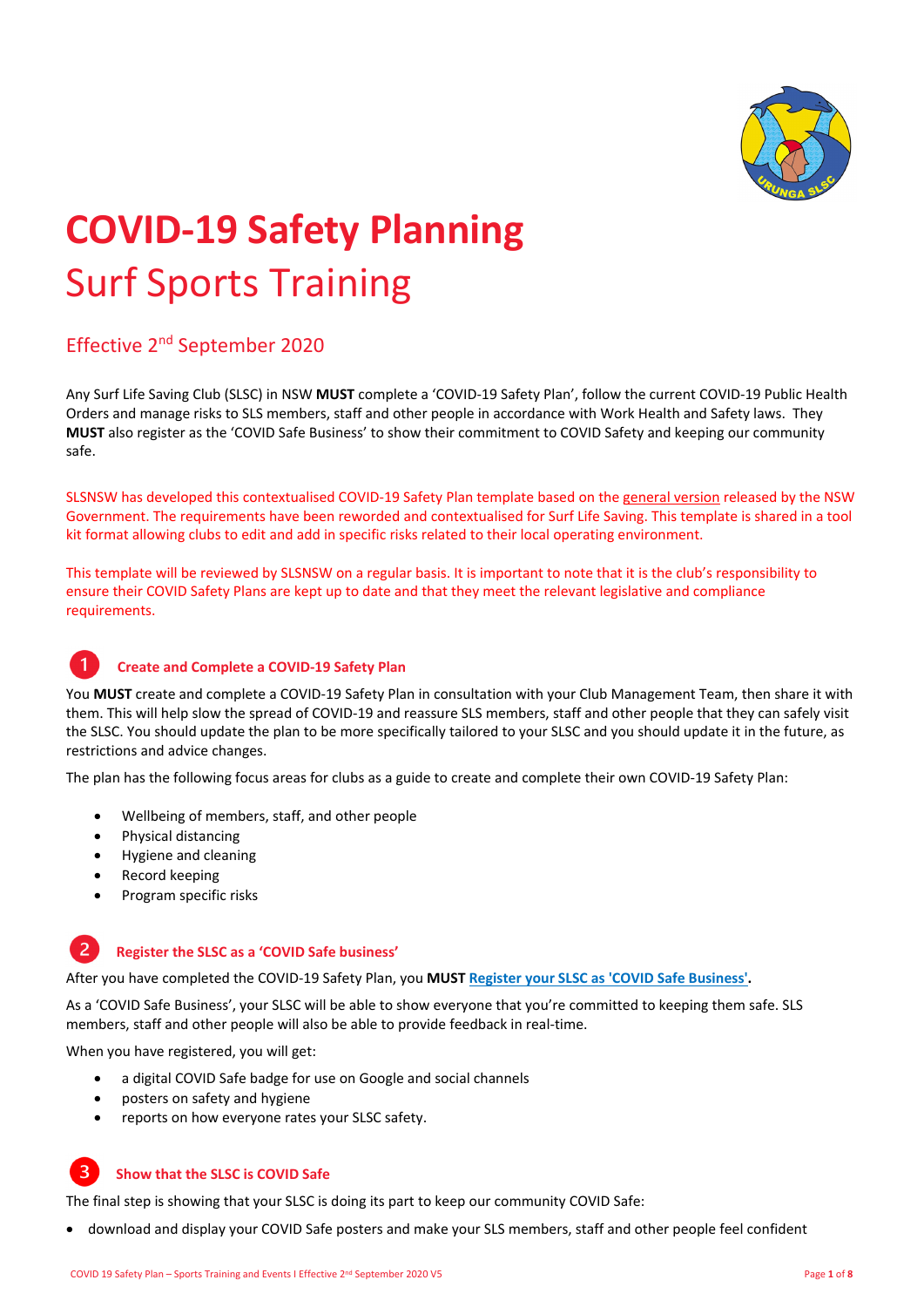

# **COVID‐<sup>19</sup> Safety Planning** Surf Sports Training

### Effective 2nd September 2020

Any Surf Life Saving Club (SLSC) in NSW **MUST** complete a 'COVID‐19 Safety Plan', follow the current COVID‐19 Public Health Orders and manage risks to SLS members, staff and other people in accordance with Work Health and Safety laws. They **MUST** also register as the 'COVID Safe Business' to show their commitment to COVID Safety and keeping our community safe.

SLSNSW has developed this contextualised COVID‐19 Safety Plan template based on the general version released by the NSW Government. The requirements have been reworded and contextualised for Surf Life Saving. This template is shared in a tool kit format allowing clubs to edit and add in specific risks related to their local operating environment.

This template will be reviewed by SLSNSW on a regular basis. It is important to note that it is the club's responsibility to ensure their COVID Safety Plans are kept up to date and that they meet the relevant legislative and compliance requirements.

#### **Create and Complete a COVID‐19 Safety Plan**

You **MUST** create and complete a COVID‐19 Safety Plan in consultation with your Club Management Team, then share it with them. This will help slow the spread of COVID‐19 and reassure SLS members, staff and other people that they can safely visit the SLSC. You should update the plan to be more specifically tailored to your SLSC and you should update it in the future, as restrictions and advice changes.

The plan has the following focus areas for clubs as a guide to create and complete their own COVID‐19 Safety Plan:

- Wellbeing of members, staff, and other people
- Physical distancing
- Hygiene and cleaning
- Record keeping
- Program specific risks

#### $\overline{2}$ **Register the SLSC as a 'COVID Safe business'**

After you have completed the COVID‐19 Safety Plan, you **MUST Register your SLSC as 'COVID Safe Business'.**

As a 'COVID Safe Business', your SLSC will be able to show everyone that you're committed to keeping them safe. SLS members, staff and other people will also be able to provide feedback in real‐time.

When you have registered, you will get:

- a digital COVID Safe badge for use on Google and social channels
- posters on safety and hygiene
- reports on how everyone rates your SLSC safety.

#### **Show that the SLSC is COVID Safe**

The final step is showing that your SLSC is doing its part to keep our community COVID Safe:

download and display your COVID Safe posters and make your SLS members, staff and other people feel confident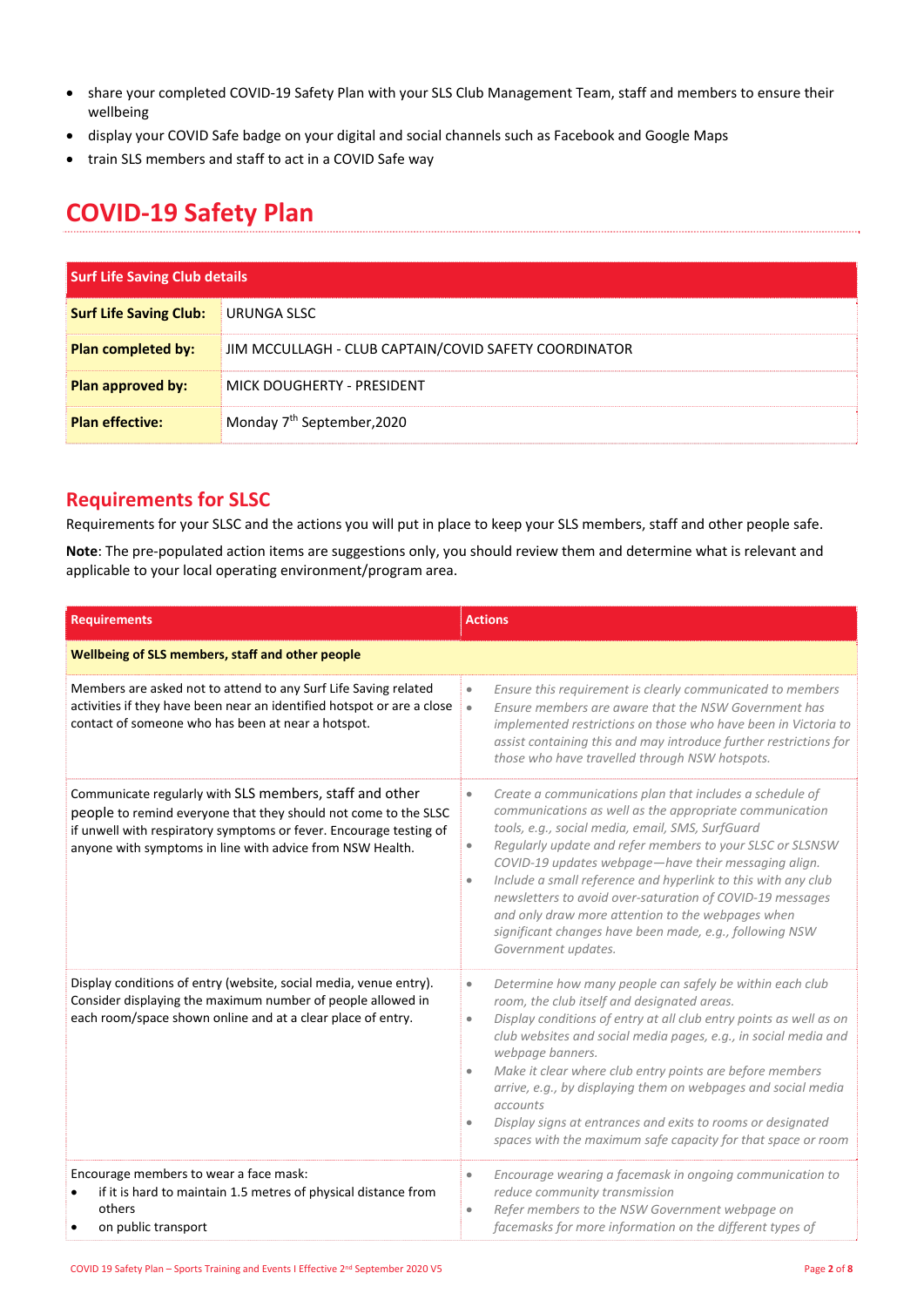- share your completed COVID‐19 Safety Plan with your SLS Club Management Team, staff and members to ensure their wellbeing
- display your COVID Safe badge on your digital and social channels such as Facebook and Google Maps
- train SLS members and staff to act in a COVID Safe way

## **COVID‐19 Safety Plan**

| <b>Surf Life Saving Club details</b> |                                                       |
|--------------------------------------|-------------------------------------------------------|
| <b>Surf Life Saving Club:</b>        | URUNGA SLSC                                           |
| <b>Plan completed by:</b>            | JIM MCCULLAGH - CLUB CAPTAIN/COVID SAFETY COORDINATOR |
| Plan approved by:                    | MICK DOUGHERTY - PRESIDENT                            |
| <b>Plan effective:</b>               | Monday 7 <sup>th</sup> September, 2020                |

#### **Requirements for SLSC**

Requirements for your SLSC and the actions you will put in place to keep your SLS members, staff and other people safe.

**Note**: The pre‐populated action items are suggestions only, you should review them and determine what is relevant and applicable to your local operating environment/program area.

| <b>Requirements</b>                                                                                                                                                                                                                                           | <b>Actions</b>                                                                                                                                                                                                                                                                                                                                                                                                                                                                                                                                                                                           |
|---------------------------------------------------------------------------------------------------------------------------------------------------------------------------------------------------------------------------------------------------------------|----------------------------------------------------------------------------------------------------------------------------------------------------------------------------------------------------------------------------------------------------------------------------------------------------------------------------------------------------------------------------------------------------------------------------------------------------------------------------------------------------------------------------------------------------------------------------------------------------------|
| Wellbeing of SLS members, staff and other people                                                                                                                                                                                                              |                                                                                                                                                                                                                                                                                                                                                                                                                                                                                                                                                                                                          |
| Members are asked not to attend to any Surf Life Saving related<br>activities if they have been near an identified hotspot or are a close<br>contact of someone who has been at near a hotspot.                                                               | Ensure this requirement is clearly communicated to members<br>$\bullet$<br>Ensure members are aware that the NSW Government has<br>$\bullet$<br>implemented restrictions on those who have been in Victoria to<br>assist containing this and may introduce further restrictions for<br>those who have travelled through NSW hotspots.                                                                                                                                                                                                                                                                    |
| Communicate regularly with SLS members, staff and other<br>people to remind everyone that they should not come to the SLSC<br>if unwell with respiratory symptoms or fever. Encourage testing of<br>anyone with symptoms in line with advice from NSW Health. | Create a communications plan that includes a schedule of<br>$\bullet$<br>communications as well as the appropriate communication<br>tools, e.g., social media, email, SMS, SurfGuard<br>Regularly update and refer members to your SLSC or SLSNSW<br>$\bullet$<br>COVID-19 updates webpage-have their messaging align.<br>Include a small reference and hyperlink to this with any club<br>$\bullet$<br>newsletters to avoid over-saturation of COVID-19 messages<br>and only draw more attention to the webpages when<br>significant changes have been made, e.g., following NSW<br>Government updates. |
| Display conditions of entry (website, social media, venue entry).<br>Consider displaying the maximum number of people allowed in<br>each room/space shown online and at a clear place of entry.                                                               | Determine how many people can safely be within each club<br>$\bullet$<br>room, the club itself and designated areas.<br>Display conditions of entry at all club entry points as well as on<br>$\bullet$<br>club websites and social media pages, e.g., in social media and<br>webpage banners.<br>Make it clear where club entry points are before members<br>$\bullet$<br>arrive, e.g., by displaying them on webpages and social media<br>accounts<br>Display signs at entrances and exits to rooms or designated<br>$\bullet$<br>spaces with the maximum safe capacity for that space or room         |
| Encourage members to wear a face mask:<br>if it is hard to maintain 1.5 metres of physical distance from<br>others<br>on public transport                                                                                                                     | Encourage wearing a facemask in ongoing communication to<br>$\bullet$<br>reduce community transmission<br>Refer members to the NSW Government webpage on<br>$\bullet$<br>facemasks for more information on the different types of                                                                                                                                                                                                                                                                                                                                                                        |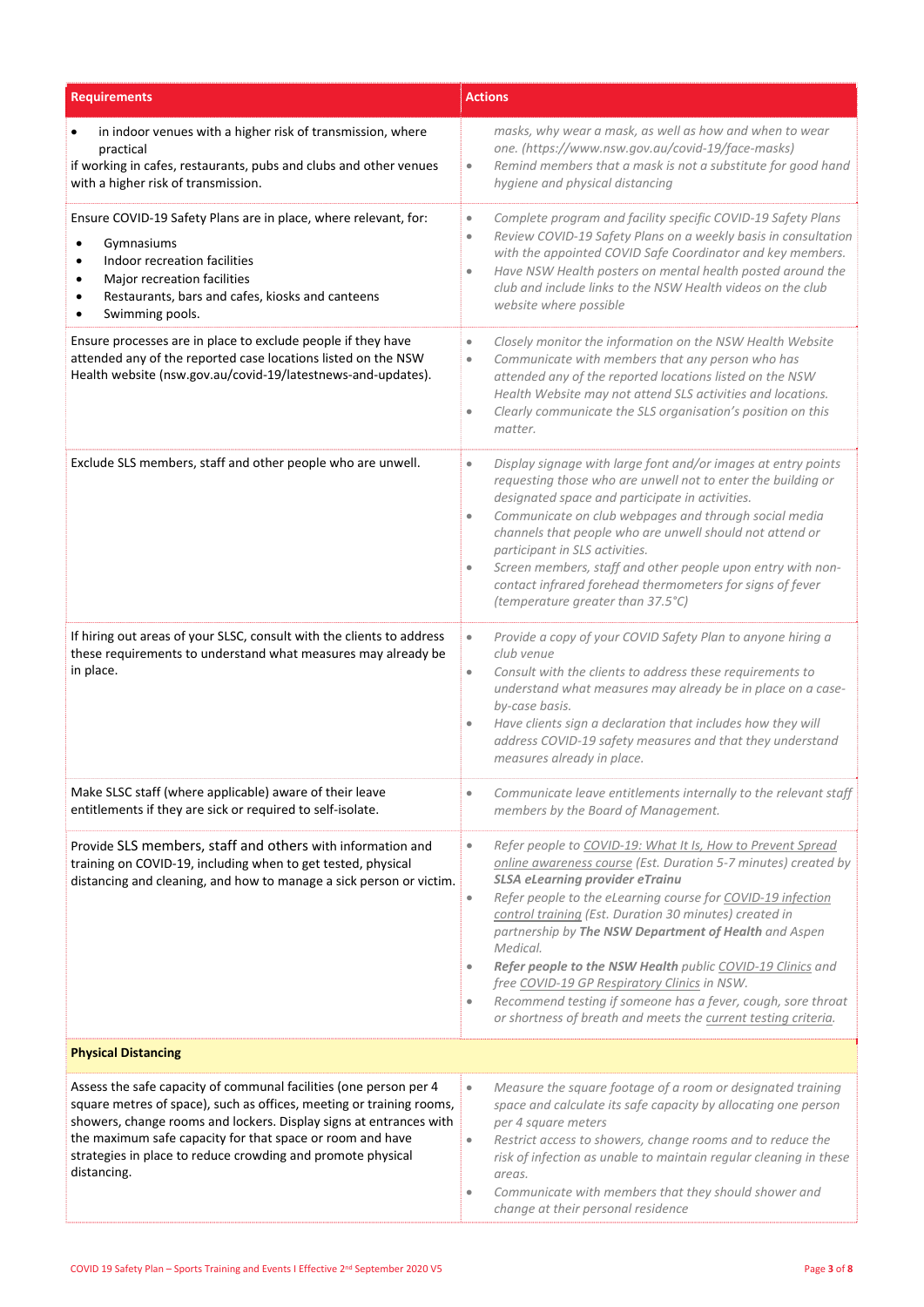| <b>Requirements</b>                                                                                                                                                                                                                                                                                                                                        | <b>Actions</b>                                                                                                                                                                                                                                                                                                                                                                                                                                                                                                                                                                                                                                                            |
|------------------------------------------------------------------------------------------------------------------------------------------------------------------------------------------------------------------------------------------------------------------------------------------------------------------------------------------------------------|---------------------------------------------------------------------------------------------------------------------------------------------------------------------------------------------------------------------------------------------------------------------------------------------------------------------------------------------------------------------------------------------------------------------------------------------------------------------------------------------------------------------------------------------------------------------------------------------------------------------------------------------------------------------------|
| in indoor venues with a higher risk of transmission, where<br>$\bullet$<br>practical<br>if working in cafes, restaurants, pubs and clubs and other venues<br>with a higher risk of transmission.                                                                                                                                                           | masks, why wear a mask, as well as how and when to wear<br>one. (https://www.nsw.gov.au/covid-19/face-masks)<br>Remind members that a mask is not a substitute for good hand<br>$\bullet$<br>hygiene and physical distancing                                                                                                                                                                                                                                                                                                                                                                                                                                              |
| Ensure COVID-19 Safety Plans are in place, where relevant, for:<br>Gymnasiums<br>$\bullet$<br>Indoor recreation facilities<br>٠<br>Major recreation facilities<br>$\bullet$<br>Restaurants, bars and cafes, kiosks and canteens<br>Swimming pools.                                                                                                         | Complete program and facility specific COVID-19 Safety Plans<br>$\bullet$<br>Review COVID-19 Safety Plans on a weekly basis in consultation<br>$\bullet$<br>with the appointed COVID Safe Coordinator and key members.<br>Have NSW Health posters on mental health posted around the<br>$\bullet$<br>club and include links to the NSW Health videos on the club<br>website where possible                                                                                                                                                                                                                                                                                |
| Ensure processes are in place to exclude people if they have<br>attended any of the reported case locations listed on the NSW<br>Health website (nsw.gov.au/covid-19/latestnews-and-updates).                                                                                                                                                              | Closely monitor the information on the NSW Health Website<br>$\bullet$<br>Communicate with members that any person who has<br>$\bullet$<br>attended any of the reported locations listed on the NSW<br>Health Website may not attend SLS activities and locations.<br>Clearly communicate the SLS organisation's position on this<br>$\bullet$<br>matter.                                                                                                                                                                                                                                                                                                                 |
| Exclude SLS members, staff and other people who are unwell.                                                                                                                                                                                                                                                                                                | Display signage with large font and/or images at entry points<br>$\bullet$<br>requesting those who are unwell not to enter the building or<br>designated space and participate in activities.<br>Communicate on club webpages and through social media<br>$\bullet$<br>channels that people who are unwell should not attend or<br>participant in SLS activities.<br>Screen members, staff and other people upon entry with non-<br>$\bullet$<br>contact infrared forehead thermometers for signs of fever<br>(temperature greater than 37.5°C)                                                                                                                           |
| If hiring out areas of your SLSC, consult with the clients to address<br>these requirements to understand what measures may already be<br>in place.                                                                                                                                                                                                        | Provide a copy of your COVID Safety Plan to anyone hiring a<br>$\bullet$<br>club venue<br>Consult with the clients to address these requirements to<br>$\bullet$<br>understand what measures may already be in place on a case-<br>by-case basis.<br>Have clients sign a declaration that includes how they will<br>$\bullet$<br>address COVID-19 safety measures and that they understand<br>measures already in place.                                                                                                                                                                                                                                                  |
| Make SLSC staff (where applicable) aware of their leave<br>entitlements if they are sick or required to self-isolate.                                                                                                                                                                                                                                      | Communicate leave entitlements internally to the relevant staff<br>$\bullet$<br>members by the Board of Management.                                                                                                                                                                                                                                                                                                                                                                                                                                                                                                                                                       |
| Provide SLS members, staff and others with information and<br>training on COVID-19, including when to get tested, physical<br>distancing and cleaning, and how to manage a sick person or victim.                                                                                                                                                          | Refer people to COVID-19: What It Is, How to Prevent Spread<br>$\bullet$<br>online awareness course (Est. Duration 5-7 minutes) created by<br><b>SLSA eLearning provider eTrainu</b><br>Refer people to the eLearning course for COVID-19 infection<br>$\bullet$<br>control training (Est. Duration 30 minutes) created in<br>partnership by The NSW Department of Health and Aspen<br>Medical.<br>Refer people to the NSW Health public COVID-19 Clinics and<br>$\bullet$<br>free COVID-19 GP Respiratory Clinics in NSW.<br>Recommend testing if someone has a fever, cough, sore throat<br>$\bullet$<br>or shortness of breath and meets the current testing criteria. |
| <b>Physical Distancing</b>                                                                                                                                                                                                                                                                                                                                 |                                                                                                                                                                                                                                                                                                                                                                                                                                                                                                                                                                                                                                                                           |
| Assess the safe capacity of communal facilities (one person per 4<br>square metres of space), such as offices, meeting or training rooms,<br>showers, change rooms and lockers. Display signs at entrances with<br>the maximum safe capacity for that space or room and have<br>strategies in place to reduce crowding and promote physical<br>distancing. | Measure the square footage of a room or designated training<br>$\bullet$<br>space and calculate its safe capacity by allocating one person<br>per 4 square meters<br>Restrict access to showers, change rooms and to reduce the<br>$\bullet$<br>risk of infection as unable to maintain regular cleaning in these<br>areas.<br>Communicate with members that they should shower and<br>$\bullet$<br>change at their personal residence                                                                                                                                                                                                                                    |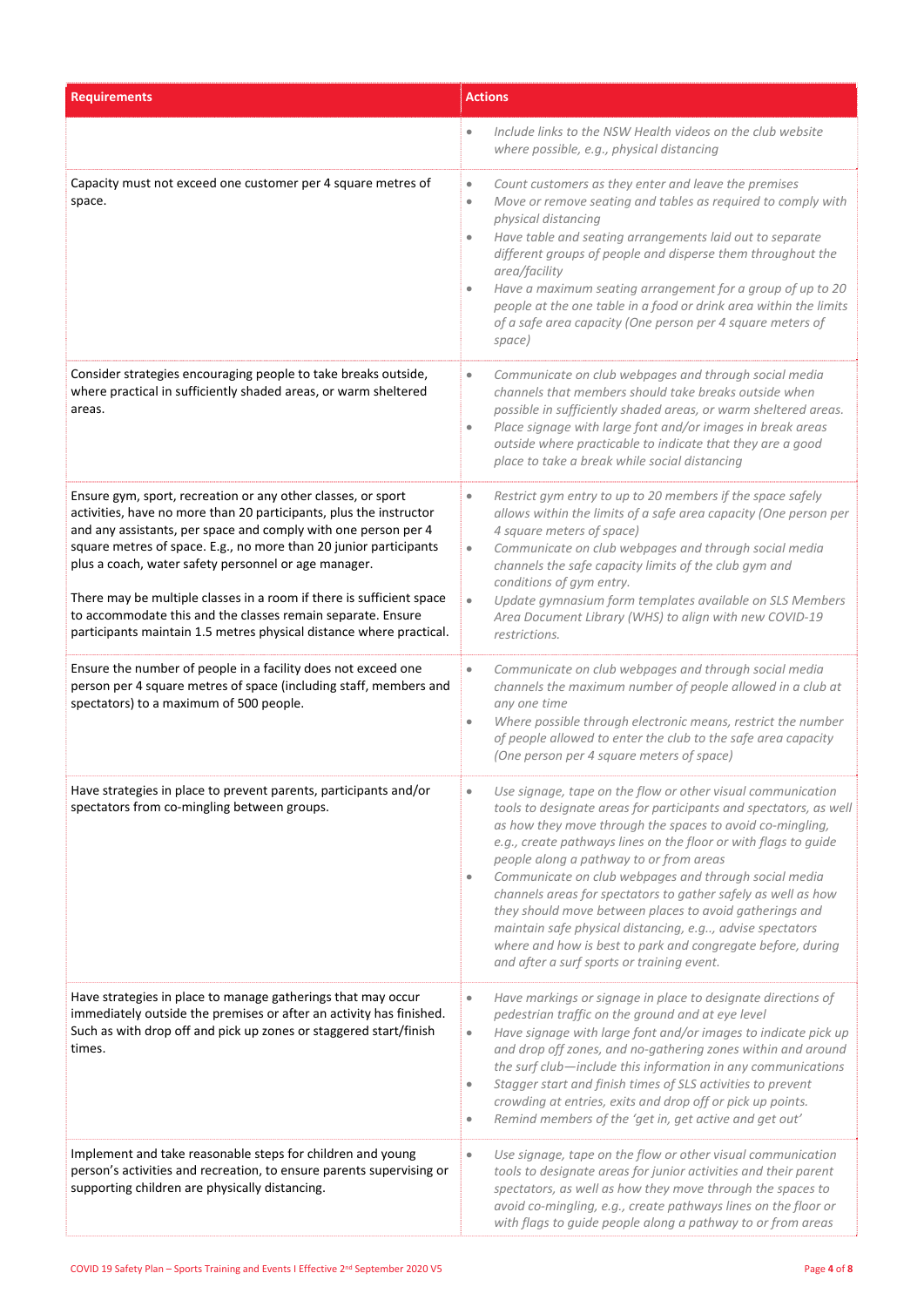| <b>Requirements</b>                                                                                                                                                                                                                                                                                                                                                                                                                                                                                                                             | <b>Actions</b>                                                                                                                                                                                                                                                                                                                                                                                                                                                                                                                                                                                                                                                                          |  |
|-------------------------------------------------------------------------------------------------------------------------------------------------------------------------------------------------------------------------------------------------------------------------------------------------------------------------------------------------------------------------------------------------------------------------------------------------------------------------------------------------------------------------------------------------|-----------------------------------------------------------------------------------------------------------------------------------------------------------------------------------------------------------------------------------------------------------------------------------------------------------------------------------------------------------------------------------------------------------------------------------------------------------------------------------------------------------------------------------------------------------------------------------------------------------------------------------------------------------------------------------------|--|
|                                                                                                                                                                                                                                                                                                                                                                                                                                                                                                                                                 | Include links to the NSW Health videos on the club website<br>$\bullet$<br>where possible, e.g., physical distancing                                                                                                                                                                                                                                                                                                                                                                                                                                                                                                                                                                    |  |
| Capacity must not exceed one customer per 4 square metres of<br>space.                                                                                                                                                                                                                                                                                                                                                                                                                                                                          | Count customers as they enter and leave the premises<br>$\bullet$<br>Move or remove seating and tables as required to comply with<br>$\bullet$<br>physical distancing<br>Have table and seating arrangements laid out to separate<br>$\bullet$<br>different groups of people and disperse them throughout the<br>area/facility<br>Have a maximum seating arrangement for a group of up to 20<br>people at the one table in a food or drink area within the limits<br>of a safe area capacity (One person per 4 square meters of<br>space)                                                                                                                                               |  |
| Consider strategies encouraging people to take breaks outside,<br>where practical in sufficiently shaded areas, or warm sheltered<br>areas.                                                                                                                                                                                                                                                                                                                                                                                                     | Communicate on club webpages and through social media<br>$\bullet$<br>channels that members should take breaks outside when<br>possible in sufficiently shaded areas, or warm sheltered areas.<br>Place signage with large font and/or images in break areas<br>outside where practicable to indicate that they are a good<br>place to take a break while social distancing                                                                                                                                                                                                                                                                                                             |  |
| Ensure gym, sport, recreation or any other classes, or sport<br>activities, have no more than 20 participants, plus the instructor<br>and any assistants, per space and comply with one person per 4<br>square metres of space. E.g., no more than 20 junior participants<br>plus a coach, water safety personnel or age manager.<br>There may be multiple classes in a room if there is sufficient space<br>to accommodate this and the classes remain separate. Ensure<br>participants maintain 1.5 metres physical distance where practical. | Restrict gym entry to up to 20 members if the space safely<br>$\bullet$<br>allows within the limits of a safe area capacity (One person per<br>4 square meters of space)<br>Communicate on club webpages and through social media<br>$\bullet$<br>channels the safe capacity limits of the club gym and<br>conditions of gym entry.<br>Update gymnasium form templates available on SLS Members<br>$\bullet$<br>Area Document Library (WHS) to align with new COVID-19<br>restrictions.                                                                                                                                                                                                 |  |
| Ensure the number of people in a facility does not exceed one<br>person per 4 square metres of space (including staff, members and<br>spectators) to a maximum of 500 people.                                                                                                                                                                                                                                                                                                                                                                   | Communicate on club webpages and through social media<br>$\bullet$<br>channels the maximum number of people allowed in a club at<br>any one time<br>Where possible through electronic means, restrict the number<br>$\bullet$<br>of people allowed to enter the club to the safe area capacity<br>(One person per 4 square meters of space)                                                                                                                                                                                                                                                                                                                                             |  |
| Have strategies in place to prevent parents, participants and/or<br>spectators from co-mingling between groups.                                                                                                                                                                                                                                                                                                                                                                                                                                 | Use signage, tape on the flow or other visual communication<br>tools to designate areas for participants and spectators, as well<br>as how they move through the spaces to avoid co-mingling,<br>e.g., create pathways lines on the floor or with flags to guide<br>people along a pathway to or from areas<br>Communicate on club webpages and through social media<br>$\bullet$<br>channels areas for spectators to gather safely as well as how<br>they should move between places to avoid gatherings and<br>maintain safe physical distancing, e.g, advise spectators<br>where and how is best to park and congregate before, during<br>and after a surf sports or training event. |  |
| Have strategies in place to manage gatherings that may occur<br>immediately outside the premises or after an activity has finished.<br>Such as with drop off and pick up zones or staggered start/finish<br>times.                                                                                                                                                                                                                                                                                                                              | Have markings or signage in place to designate directions of<br>$\bullet$<br>pedestrian traffic on the ground and at eye level<br>Have signage with large font and/or images to indicate pick up<br>$\bullet$<br>and drop off zones, and no-gathering zones within and around<br>the surf club-include this information in any communications<br>Stagger start and finish times of SLS activities to prevent<br>$\bullet$<br>crowding at entries, exits and drop off or pick up points.<br>Remind members of the 'get in, get active and get out'<br>$\bullet$                                                                                                                          |  |
| Implement and take reasonable steps for children and young<br>person's activities and recreation, to ensure parents supervising or<br>supporting children are physically distancing.                                                                                                                                                                                                                                                                                                                                                            | Use signage, tape on the flow or other visual communication<br>$\bullet$<br>tools to designate areas for junior activities and their parent<br>spectators, as well as how they move through the spaces to<br>avoid co-mingling, e.g., create pathways lines on the floor or<br>with flags to guide people along a pathway to or from areas                                                                                                                                                                                                                                                                                                                                              |  |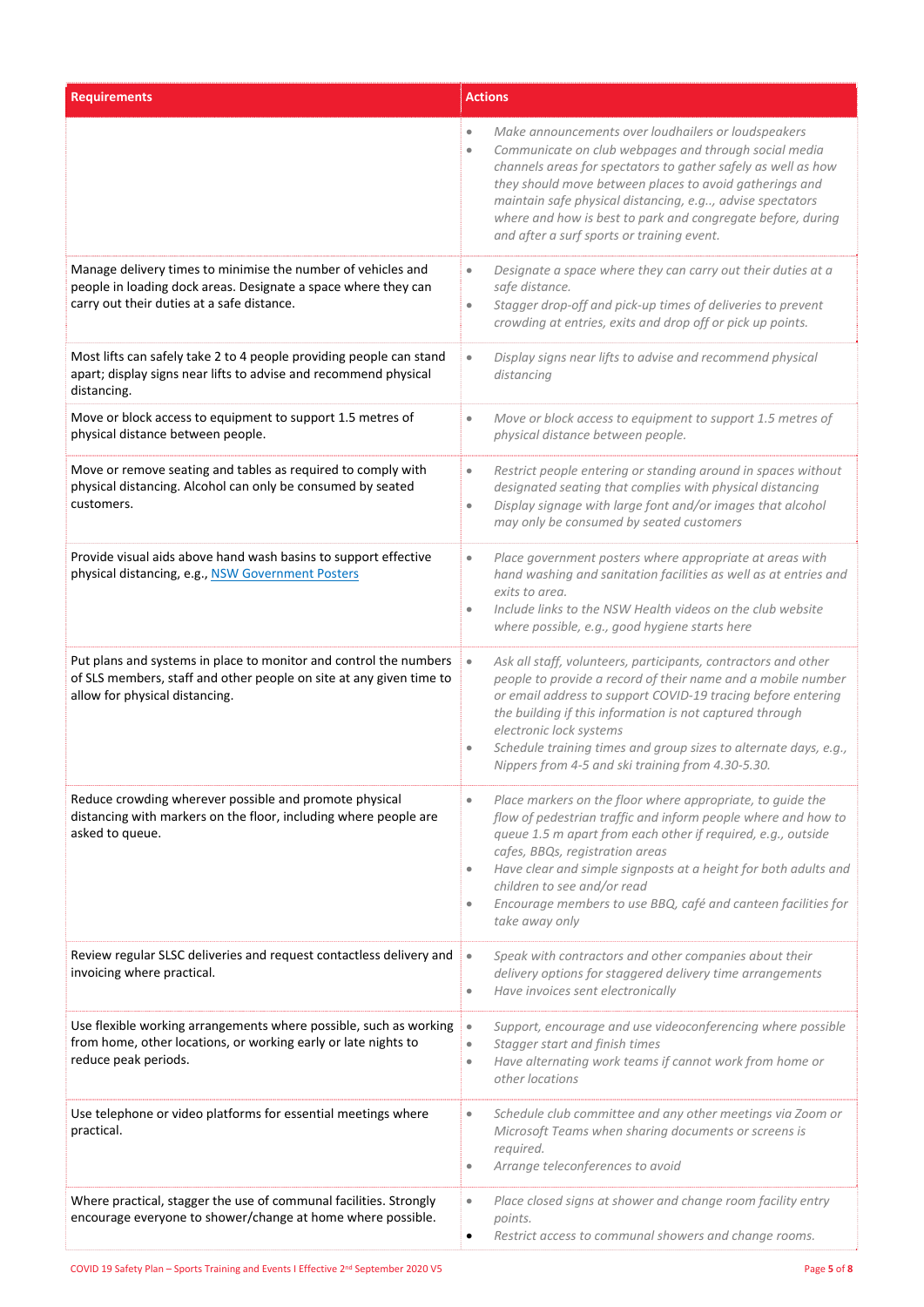| <b>Requirements</b>                                                                                                                                                          | <b>Actions</b>                                                                                                                                                                                                                                                                                                                                                                                                                                                   |
|------------------------------------------------------------------------------------------------------------------------------------------------------------------------------|------------------------------------------------------------------------------------------------------------------------------------------------------------------------------------------------------------------------------------------------------------------------------------------------------------------------------------------------------------------------------------------------------------------------------------------------------------------|
|                                                                                                                                                                              | Make announcements over loudhailers or loudspeakers<br>Communicate on club webpages and through social media<br>$\bullet$<br>channels areas for spectators to gather safely as well as how<br>they should move between places to avoid gatherings and<br>maintain safe physical distancing, e.g, advise spectators<br>where and how is best to park and congregate before, during<br>and after a surf sports or training event.                                  |
| Manage delivery times to minimise the number of vehicles and<br>people in loading dock areas. Designate a space where they can<br>carry out their duties at a safe distance. | Designate a space where they can carry out their duties at a<br>$\qquad \qquad \bullet$<br>safe distance.<br>Stagger drop-off and pick-up times of deliveries to prevent<br>$\bullet$<br>crowding at entries, exits and drop off or pick up points.                                                                                                                                                                                                              |
| Most lifts can safely take 2 to 4 people providing people can stand<br>apart; display signs near lifts to advise and recommend physical<br>distancing.                       | Display signs near lifts to advise and recommend physical<br>$\bullet$<br>distancing                                                                                                                                                                                                                                                                                                                                                                             |
| Move or block access to equipment to support 1.5 metres of<br>physical distance between people.                                                                              | Move or block access to equipment to support 1.5 metres of<br>۰<br>physical distance between people.                                                                                                                                                                                                                                                                                                                                                             |
| Move or remove seating and tables as required to comply with<br>physical distancing. Alcohol can only be consumed by seated<br>customers.                                    | Restrict people entering or standing around in spaces without<br>$\qquad \qquad \bullet$<br>designated seating that complies with physical distancing<br>Display signage with large font and/or images that alcohol<br>$\bullet$<br>may only be consumed by seated customers                                                                                                                                                                                     |
| Provide visual aids above hand wash basins to support effective<br>physical distancing, e.g., NSW Government Posters                                                         | Place government posters where appropriate at areas with<br>$\bullet$<br>hand washing and sanitation facilities as well as at entries and<br>exits to area.<br>Include links to the NSW Health videos on the club website<br>$\bullet$<br>where possible, e.g., good hygiene starts here                                                                                                                                                                         |
| Put plans and systems in place to monitor and control the numbers<br>of SLS members, staff and other people on site at any given time to<br>allow for physical distancing.   | Ask all staff, volunteers, participants, contractors and other<br>$\bullet$<br>people to provide a record of their name and a mobile number<br>or email address to support COVID-19 tracing before entering<br>the building if this information is not captured through<br>electronic lock systems<br>Schedule training times and group sizes to alternate days, e.g.,<br>Nippers from 4-5 and ski training from 4.30-5.30.                                      |
| Reduce crowding wherever possible and promote physical<br>distancing with markers on the floor, including where people are<br>asked to queue.                                | Place markers on the floor where appropriate, to guide the<br>۰<br>flow of pedestrian traffic and inform people where and how to<br>queue 1.5 m apart from each other if required, e.g., outside<br>cafes, BBQs, registration areas<br>Have clear and simple signposts at a height for both adults and<br>$\bullet$<br>children to see and/or read<br>Encourage members to use BBQ, café and canteen facilities for<br>$\qquad \qquad \bullet$<br>take away only |
| Review regular SLSC deliveries and request contactless delivery and<br>invoicing where practical.                                                                            | Speak with contractors and other companies about their<br>$\bullet$<br>delivery options for staggered delivery time arrangements<br>Have invoices sent electronically<br>$\qquad \qquad \bullet$                                                                                                                                                                                                                                                                 |
| Use flexible working arrangements where possible, such as working<br>from home, other locations, or working early or late nights to<br>reduce peak periods.                  | Support, encourage and use videoconferencing where possible<br>$\bullet$<br>Stagger start and finish times<br>$\bullet$<br>Have alternating work teams if cannot work from home or<br>۰<br>other locations                                                                                                                                                                                                                                                       |
| Use telephone or video platforms for essential meetings where<br>practical.                                                                                                  | Schedule club committee and any other meetings via Zoom or<br>Microsoft Teams when sharing documents or screens is<br>required.<br>Arrange teleconferences to avoid<br>۰                                                                                                                                                                                                                                                                                         |
| Where practical, stagger the use of communal facilities. Strongly<br>encourage everyone to shower/change at home where possible.                                             | Place closed signs at shower and change room facility entry<br>۰<br>points.<br>Restrict access to communal showers and change rooms.<br>٠                                                                                                                                                                                                                                                                                                                        |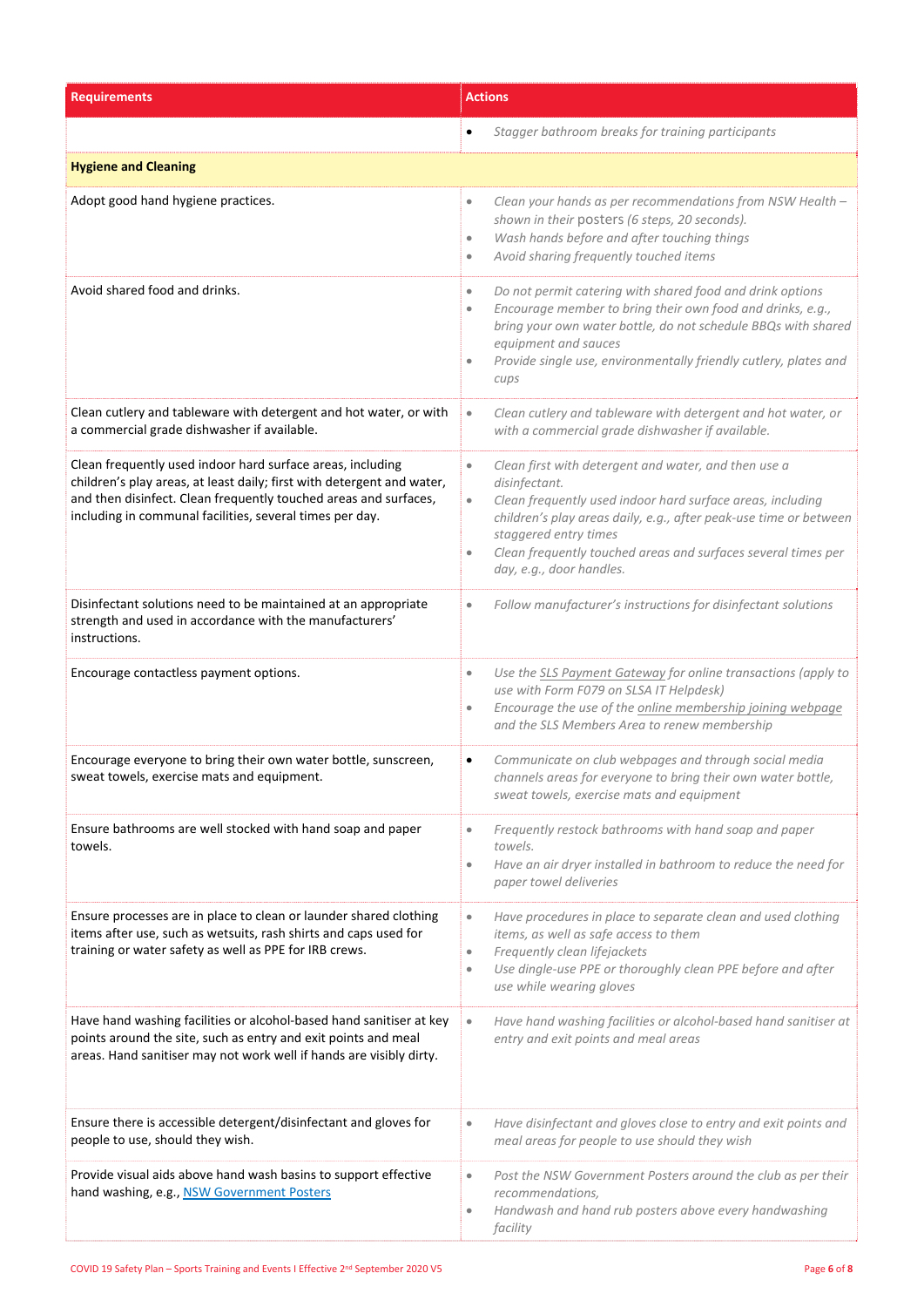| <b>Requirements</b>                                                                                                                                                                                                                                                  | <b>Actions</b>                                                                                                                                                                                                                                                                                                                                                        |  |
|----------------------------------------------------------------------------------------------------------------------------------------------------------------------------------------------------------------------------------------------------------------------|-----------------------------------------------------------------------------------------------------------------------------------------------------------------------------------------------------------------------------------------------------------------------------------------------------------------------------------------------------------------------|--|
|                                                                                                                                                                                                                                                                      | Stagger bathroom breaks for training participants                                                                                                                                                                                                                                                                                                                     |  |
| <b>Hygiene and Cleaning</b>                                                                                                                                                                                                                                          |                                                                                                                                                                                                                                                                                                                                                                       |  |
| Adopt good hand hygiene practices.                                                                                                                                                                                                                                   | Clean your hands as per recommendations from NSW Health -<br>$\bullet$<br>shown in their posters (6 steps, 20 seconds).<br>Wash hands before and after touching things<br>$\bullet$<br>Avoid sharing frequently touched items<br>$\bullet$                                                                                                                            |  |
| Avoid shared food and drinks.                                                                                                                                                                                                                                        | Do not permit catering with shared food and drink options<br>$\bullet$<br>Encourage member to bring their own food and drinks, e.g.,<br>$\bullet$<br>bring your own water bottle, do not schedule BBQs with shared<br>equipment and sauces<br>Provide single use, environmentally friendly cutlery, plates and<br>cups                                                |  |
| Clean cutlery and tableware with detergent and hot water, or with<br>a commercial grade dishwasher if available.                                                                                                                                                     | Clean cutlery and tableware with detergent and hot water, or<br>$\bullet$<br>with a commercial grade dishwasher if available.                                                                                                                                                                                                                                         |  |
| Clean frequently used indoor hard surface areas, including<br>children's play areas, at least daily; first with detergent and water,<br>and then disinfect. Clean frequently touched areas and surfaces,<br>including in communal facilities, several times per day. | Clean first with detergent and water, and then use a<br>$\bullet$<br>disinfectant.<br>Clean frequently used indoor hard surface areas, including<br>$\bullet$<br>children's play areas daily, e.g., after peak-use time or between<br>staggered entry times<br>Clean frequently touched areas and surfaces several times per<br>$\bullet$<br>day, e.g., door handles. |  |
| Disinfectant solutions need to be maintained at an appropriate<br>strength and used in accordance with the manufacturers'<br>instructions.                                                                                                                           | Follow manufacturer's instructions for disinfectant solutions<br>$\bullet$                                                                                                                                                                                                                                                                                            |  |
| Encourage contactless payment options.                                                                                                                                                                                                                               | Use the SLS Payment Gateway for online transactions (apply to<br>$\bullet$<br>use with Form F079 on SLSA IT Helpdesk)<br>Encourage the use of the online membership joining webpage<br>$\bullet$<br>and the SLS Members Area to renew membership                                                                                                                      |  |
| Encourage everyone to bring their own water bottle, sunscreen,<br>sweat towels, exercise mats and equipment.                                                                                                                                                         | Communicate on club webpages and through social media<br>$\bullet$<br>channels areas for everyone to bring their own water bottle,<br>sweat towels, exercise mats and equipment                                                                                                                                                                                       |  |
| Ensure bathrooms are well stocked with hand soap and paper<br>towels.                                                                                                                                                                                                | Frequently restock bathrooms with hand soap and paper<br>$\qquad \qquad \bullet$<br>towels.<br>Have an air dryer installed in bathroom to reduce the need for<br>$\bullet$<br>paper towel deliveries                                                                                                                                                                  |  |
| Ensure processes are in place to clean or launder shared clothing<br>items after use, such as wetsuits, rash shirts and caps used for<br>training or water safety as well as PPE for IRB crews.                                                                      | Have procedures in place to separate clean and used clothing<br>$\bullet$<br>items, as well as safe access to them<br>Frequently clean lifejackets<br>$\qquad \qquad \bullet$<br>Use dingle-use PPE or thoroughly clean PPE before and after<br>$\bullet$<br>use while wearing gloves                                                                                 |  |
| Have hand washing facilities or alcohol-based hand sanitiser at key<br>points around the site, such as entry and exit points and meal<br>areas. Hand sanitiser may not work well if hands are visibly dirty.                                                         | Have hand washing facilities or alcohol-based hand sanitiser at<br>$\bullet$<br>entry and exit points and meal areas                                                                                                                                                                                                                                                  |  |
| Ensure there is accessible detergent/disinfectant and gloves for<br>people to use, should they wish.                                                                                                                                                                 | Have disinfectant and gloves close to entry and exit points and<br>$\bullet$<br>meal areas for people to use should they wish                                                                                                                                                                                                                                         |  |
| Provide visual aids above hand wash basins to support effective<br>hand washing, e.g., NSW Government Posters                                                                                                                                                        | Post the NSW Government Posters around the club as per their<br>$\bullet$<br>recommendations,<br>Handwash and hand rub posters above every handwashing<br>$\qquad \qquad \bullet$<br>facility                                                                                                                                                                         |  |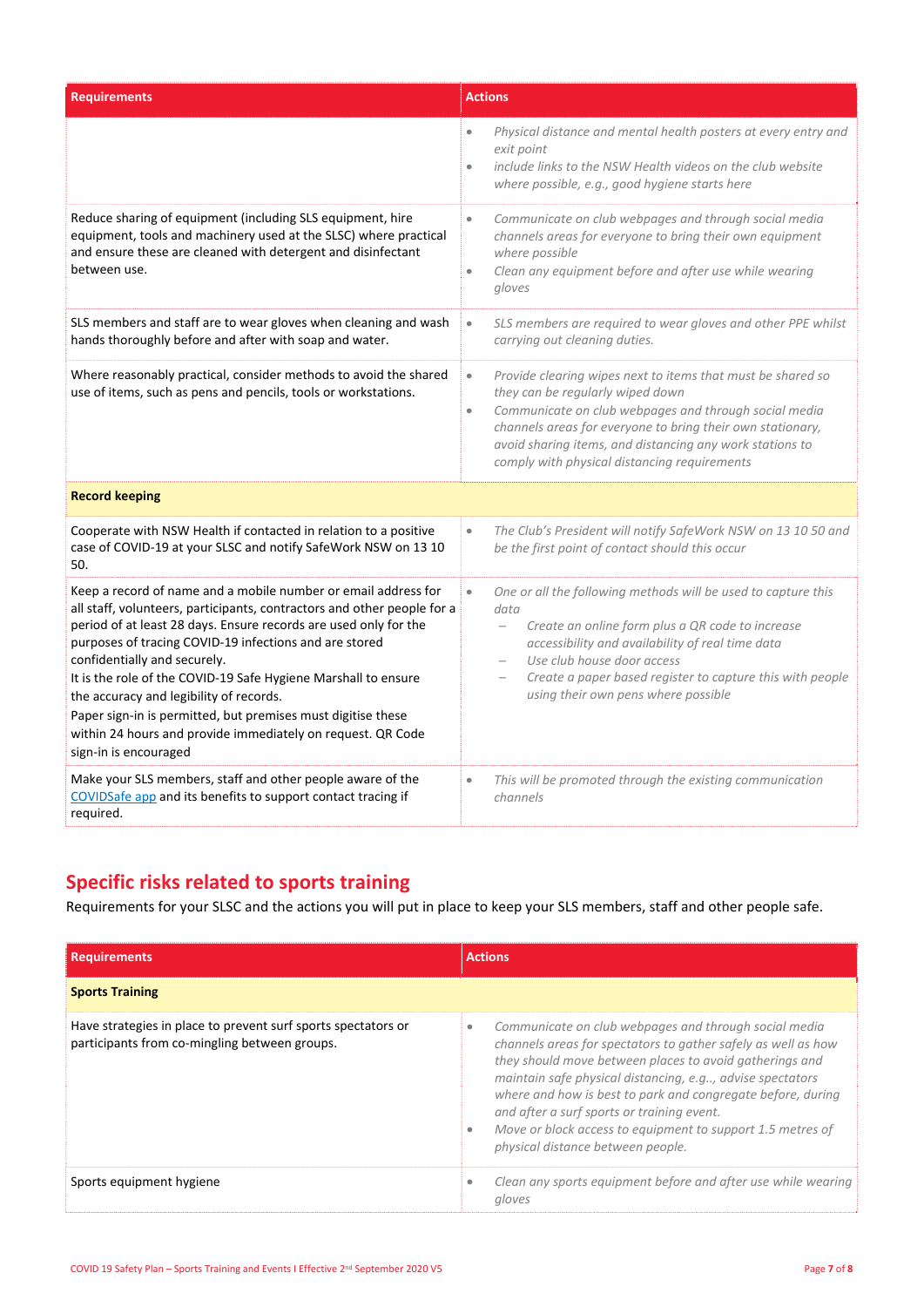| <b>Requirements</b>                                                                                                                                                                                                                                                                                                                                                                                                                                                                                                                                                          | <b>Actions</b>                                                                                                                                                                                                                                                                                                                                               |
|------------------------------------------------------------------------------------------------------------------------------------------------------------------------------------------------------------------------------------------------------------------------------------------------------------------------------------------------------------------------------------------------------------------------------------------------------------------------------------------------------------------------------------------------------------------------------|--------------------------------------------------------------------------------------------------------------------------------------------------------------------------------------------------------------------------------------------------------------------------------------------------------------------------------------------------------------|
|                                                                                                                                                                                                                                                                                                                                                                                                                                                                                                                                                                              | Physical distance and mental health posters at every entry and<br>$\bullet$<br>exit point<br>include links to the NSW Health videos on the club website<br>$\bullet$<br>where possible, e.g., good hygiene starts here                                                                                                                                       |
| Reduce sharing of equipment (including SLS equipment, hire<br>equipment, tools and machinery used at the SLSC) where practical<br>and ensure these are cleaned with detergent and disinfectant<br>between use.                                                                                                                                                                                                                                                                                                                                                               | Communicate on club webpages and through social media<br>$\bullet$<br>channels areas for everyone to bring their own equipment<br>where possible<br>Clean any equipment before and after use while wearing<br>$\bullet$<br>gloves                                                                                                                            |
| SLS members and staff are to wear gloves when cleaning and wash<br>hands thoroughly before and after with soap and water.                                                                                                                                                                                                                                                                                                                                                                                                                                                    | SLS members are required to wear gloves and other PPE whilst<br>$\bullet$<br>carrying out cleaning duties.                                                                                                                                                                                                                                                   |
| Where reasonably practical, consider methods to avoid the shared<br>use of items, such as pens and pencils, tools or workstations.                                                                                                                                                                                                                                                                                                                                                                                                                                           | Provide clearing wipes next to items that must be shared so<br>$\bullet$<br>they can be regularly wiped down<br>Communicate on club webpages and through social media<br>$\bullet$<br>channels areas for everyone to bring their own stationary,<br>avoid sharing items, and distancing any work stations to<br>comply with physical distancing requirements |
| <b>Record keeping</b>                                                                                                                                                                                                                                                                                                                                                                                                                                                                                                                                                        |                                                                                                                                                                                                                                                                                                                                                              |
| Cooperate with NSW Health if contacted in relation to a positive<br>case of COVID-19 at your SLSC and notify SafeWork NSW on 13 10<br>50.                                                                                                                                                                                                                                                                                                                                                                                                                                    | The Club's President will notify SafeWork NSW on 13 10 50 and<br>$\bullet$<br>be the first point of contact should this occur                                                                                                                                                                                                                                |
| Keep a record of name and a mobile number or email address for<br>all staff, volunteers, participants, contractors and other people for a<br>period of at least 28 days. Ensure records are used only for the<br>purposes of tracing COVID-19 infections and are stored<br>confidentially and securely.<br>It is the role of the COVID-19 Safe Hygiene Marshall to ensure<br>the accuracy and legibility of records.<br>Paper sign-in is permitted, but premises must digitise these<br>within 24 hours and provide immediately on request. QR Code<br>sign-in is encouraged | One or all the following methods will be used to capture this<br>$\bullet$<br>data<br>Create an online form plus a QR code to increase<br>$\overline{\phantom{0}}$<br>accessibility and availability of real time data<br>Use club house door access<br>Create a paper based register to capture this with people<br>using their own pens where possible     |
| Make your SLS members, staff and other people aware of the<br>COVIDSafe app and its benefits to support contact tracing if<br>required.                                                                                                                                                                                                                                                                                                                                                                                                                                      | This will be promoted through the existing communication<br>$\bullet$<br>channels                                                                                                                                                                                                                                                                            |

## **Specific risks related to sports training**

Requirements for your SLSC and the actions you will put in place to keep your SLS members, staff and other people safe.

| <b>Requirements</b>                                                                                            | <b>Actions</b>                                                                                                                                                                                                                                                                                                                                                                                                                                                 |
|----------------------------------------------------------------------------------------------------------------|----------------------------------------------------------------------------------------------------------------------------------------------------------------------------------------------------------------------------------------------------------------------------------------------------------------------------------------------------------------------------------------------------------------------------------------------------------------|
| <b>Sports Training</b>                                                                                         |                                                                                                                                                                                                                                                                                                                                                                                                                                                                |
| Have strategies in place to prevent surf sports spectators or<br>participants from co-mingling between groups. | Communicate on club webpages and through social media<br>channels areas for spectators to gather safely as well as how<br>they should move between places to avoid gatherings and<br>maintain safe physical distancing, e.g, advise spectators<br>where and how is best to park and congregate before, during<br>and after a surf sports or training event.<br>Move or block access to equipment to support 1.5 metres of<br>physical distance between people. |
| Sports equipment hygiene                                                                                       | Clean any sports equipment before and after use while wearing<br>gloves                                                                                                                                                                                                                                                                                                                                                                                        |